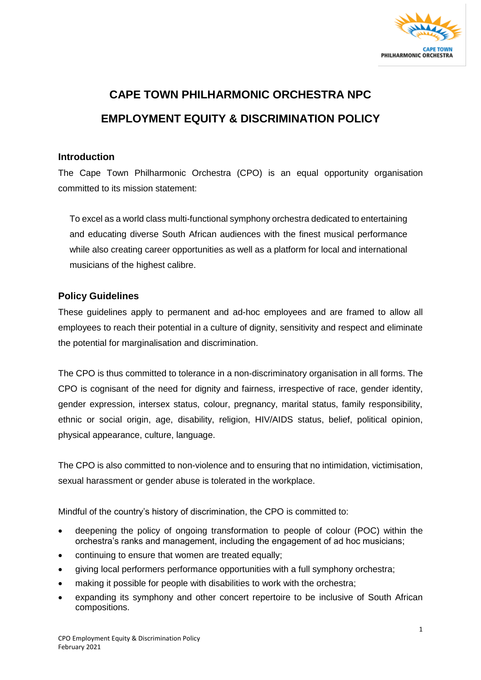

## **CAPE TOWN PHILHARMONIC ORCHESTRA NPC EMPLOYMENT EQUITY & DISCRIMINATION POLICY**

## **Introduction**

The Cape Town Philharmonic Orchestra (CPO) is an equal opportunity organisation committed to its mission statement:

To excel as a world class multi-functional symphony orchestra dedicated to entertaining and educating diverse South African audiences with the finest musical performance while also creating career opportunities as well as a platform for local and international musicians of the highest calibre.

## **Policy Guidelines**

These guidelines apply to permanent and ad-hoc employees and are framed to allow all employees to reach their potential in a culture of dignity, sensitivity and respect and eliminate the potential for marginalisation and discrimination.

The CPO is thus committed to tolerance in a non-discriminatory organisation in all forms. The CPO is cognisant of the need for dignity and fairness, irrespective of race, gender identity, gender expression, intersex status, colour, pregnancy, marital status, family responsibility, ethnic or social origin, age, disability, religion, HIV/AIDS status, belief, political opinion, physical appearance, culture, language.

The CPO is also committed to non-violence and to ensuring that no intimidation, victimisation, sexual harassment or gender abuse is tolerated in the workplace.

Mindful of the country's history of discrimination, the CPO is committed to:

- deepening the policy of ongoing transformation to people of colour (POC) within the orchestra's ranks and management, including the engagement of ad hoc musicians;
- continuing to ensure that women are treated equally;
- giving local performers performance opportunities with a full symphony orchestra;
- making it possible for people with disabilities to work with the orchestra;
- expanding its symphony and other concert repertoire to be inclusive of South African compositions.